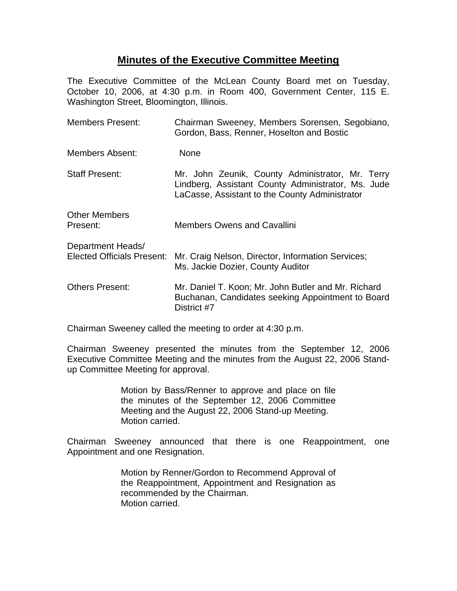## **Minutes of the Executive Committee Meeting**

The Executive Committee of the McLean County Board met on Tuesday, October 10, 2006, at 4:30 p.m. in Room 400, Government Center, 115 E. Washington Street, Bloomington, Illinois.

| <b>Members Present:</b>                                | Chairman Sweeney, Members Sorensen, Segobiano,<br>Gordon, Bass, Renner, Hoselton and Bostic                                                              |
|--------------------------------------------------------|----------------------------------------------------------------------------------------------------------------------------------------------------------|
| Members Absent:                                        | <b>None</b>                                                                                                                                              |
| <b>Staff Present:</b>                                  | Mr. John Zeunik, County Administrator, Mr. Terry<br>Lindberg, Assistant County Administrator, Ms. Jude<br>LaCasse, Assistant to the County Administrator |
| <b>Other Members</b><br>Present:                       | <b>Members Owens and Cavallini</b>                                                                                                                       |
| Department Heads/<br><b>Elected Officials Present:</b> | Mr. Craig Nelson, Director, Information Services;<br>Ms. Jackie Dozier, County Auditor                                                                   |
| <b>Others Present:</b>                                 | Mr. Daniel T. Koon; Mr. John Butler and Mr. Richard<br>Buchanan, Candidates seeking Appointment to Board<br>District #7                                  |

Chairman Sweeney called the meeting to order at 4:30 p.m.

Chairman Sweeney presented the minutes from the September 12, 2006 Executive Committee Meeting and the minutes from the August 22, 2006 Standup Committee Meeting for approval.

> Motion by Bass/Renner to approve and place on file the minutes of the September 12, 2006 Committee Meeting and the August 22, 2006 Stand-up Meeting. Motion carried.

Chairman Sweeney announced that there is one Reappointment, one Appointment and one Resignation.

> Motion by Renner/Gordon to Recommend Approval of the Reappointment, Appointment and Resignation as recommended by the Chairman. Motion carried.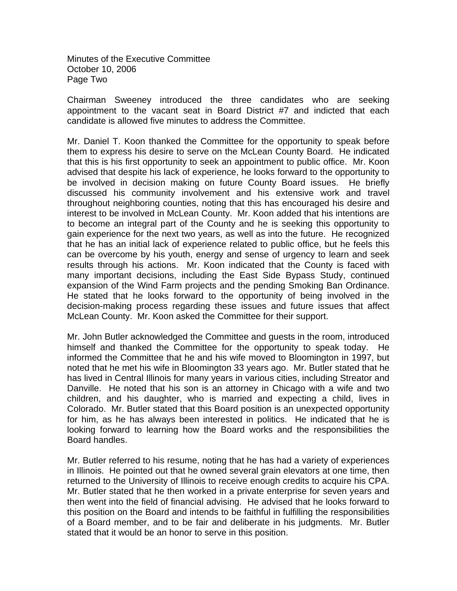Minutes of the Executive Committee October 10, 2006 Page Two

Chairman Sweeney introduced the three candidates who are seeking appointment to the vacant seat in Board District #7 and indicted that each candidate is allowed five minutes to address the Committee.

Mr. Daniel T. Koon thanked the Committee for the opportunity to speak before them to express his desire to serve on the McLean County Board. He indicated that this is his first opportunity to seek an appointment to public office. Mr. Koon advised that despite his lack of experience, he looks forward to the opportunity to be involved in decision making on future County Board issues. He briefly discussed his community involvement and his extensive work and travel throughout neighboring counties, noting that this has encouraged his desire and interest to be involved in McLean County. Mr. Koon added that his intentions are to become an integral part of the County and he is seeking this opportunity to gain experience for the next two years, as well as into the future. He recognized that he has an initial lack of experience related to public office, but he feels this can be overcome by his youth, energy and sense of urgency to learn and seek results through his actions. Mr. Koon indicated that the County is faced with many important decisions, including the East Side Bypass Study, continued expansion of the Wind Farm projects and the pending Smoking Ban Ordinance. He stated that he looks forward to the opportunity of being involved in the decision-making process regarding these issues and future issues that affect McLean County. Mr. Koon asked the Committee for their support.

Mr. John Butler acknowledged the Committee and guests in the room, introduced himself and thanked the Committee for the opportunity to speak today. He informed the Committee that he and his wife moved to Bloomington in 1997, but noted that he met his wife in Bloomington 33 years ago. Mr. Butler stated that he has lived in Central Illinois for many years in various cities, including Streator and Danville. He noted that his son is an attorney in Chicago with a wife and two children, and his daughter, who is married and expecting a child, lives in Colorado. Mr. Butler stated that this Board position is an unexpected opportunity for him, as he has always been interested in politics. He indicated that he is looking forward to learning how the Board works and the responsibilities the Board handles.

Mr. Butler referred to his resume, noting that he has had a variety of experiences in Illinois. He pointed out that he owned several grain elevators at one time, then returned to the University of Illinois to receive enough credits to acquire his CPA. Mr. Butler stated that he then worked in a private enterprise for seven years and then went into the field of financial advising. He advised that he looks forward to this position on the Board and intends to be faithful in fulfilling the responsibilities of a Board member, and to be fair and deliberate in his judgments. Mr. Butler stated that it would be an honor to serve in this position.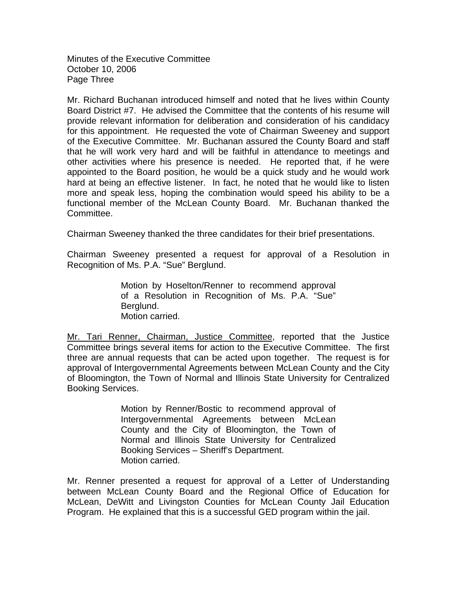Minutes of the Executive Committee October 10, 2006 Page Three

Mr. Richard Buchanan introduced himself and noted that he lives within County Board District #7. He advised the Committee that the contents of his resume will provide relevant information for deliberation and consideration of his candidacy for this appointment. He requested the vote of Chairman Sweeney and support of the Executive Committee. Mr. Buchanan assured the County Board and staff that he will work very hard and will be faithful in attendance to meetings and other activities where his presence is needed. He reported that, if he were appointed to the Board position, he would be a quick study and he would work hard at being an effective listener. In fact, he noted that he would like to listen more and speak less, hoping the combination would speed his ability to be a functional member of the McLean County Board. Mr. Buchanan thanked the Committee.

Chairman Sweeney thanked the three candidates for their brief presentations.

Chairman Sweeney presented a request for approval of a Resolution in Recognition of Ms. P.A. "Sue" Berglund.

> Motion by Hoselton/Renner to recommend approval of a Resolution in Recognition of Ms. P.A. "Sue" Berglund. Motion carried.

Mr. Tari Renner, Chairman, Justice Committee, reported that the Justice Committee brings several items for action to the Executive Committee. The first three are annual requests that can be acted upon together. The request is for approval of Intergovernmental Agreements between McLean County and the City of Bloomington, the Town of Normal and Illinois State University for Centralized Booking Services.

> Motion by Renner/Bostic to recommend approval of Intergovernmental Agreements between McLean County and the City of Bloomington, the Town of Normal and Illinois State University for Centralized Booking Services – Sheriff's Department. Motion carried.

Mr. Renner presented a request for approval of a Letter of Understanding between McLean County Board and the Regional Office of Education for McLean, DeWitt and Livingston Counties for McLean County Jail Education Program. He explained that this is a successful GED program within the jail.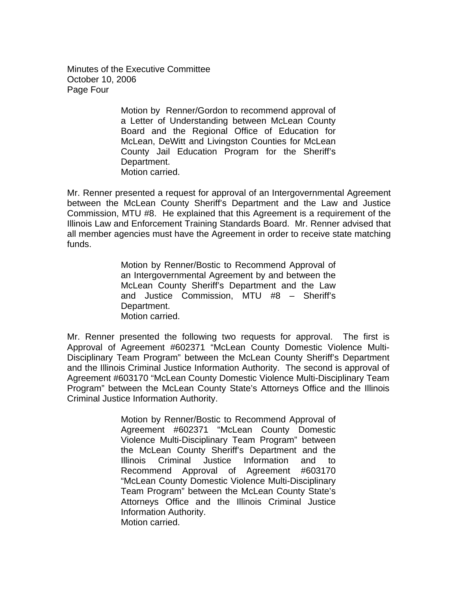Minutes of the Executive Committee October 10, 2006 Page Four

> Motion by Renner/Gordon to recommend approval of a Letter of Understanding between McLean County Board and the Regional Office of Education for McLean, DeWitt and Livingston Counties for McLean County Jail Education Program for the Sheriff's Department. Motion carried.

Mr. Renner presented a request for approval of an Intergovernmental Agreement between the McLean County Sheriff's Department and the Law and Justice Commission, MTU #8. He explained that this Agreement is a requirement of the Illinois Law and Enforcement Training Standards Board. Mr. Renner advised that all member agencies must have the Agreement in order to receive state matching funds.

> Motion by Renner/Bostic to Recommend Approval of an Intergovernmental Agreement by and between the McLean County Sheriff's Department and the Law and Justice Commission, MTU #8 – Sheriff's Department. Motion carried.

Mr. Renner presented the following two requests for approval. The first is Approval of Agreement #602371 "McLean County Domestic Violence Multi-Disciplinary Team Program" between the McLean County Sheriff's Department and the Illinois Criminal Justice Information Authority. The second is approval of Agreement #603170 "McLean County Domestic Violence Multi-Disciplinary Team Program" between the McLean County State's Attorneys Office and the Illinois Criminal Justice Information Authority.

> Motion by Renner/Bostic to Recommend Approval of Agreement #602371 "McLean County Domestic Violence Multi-Disciplinary Team Program" between the McLean County Sheriff's Department and the Illinois Criminal Justice Information and to Recommend Approval of Agreement #603170 "McLean County Domestic Violence Multi-Disciplinary Team Program" between the McLean County State's Attorneys Office and the Illinois Criminal Justice Information Authority. Motion carried.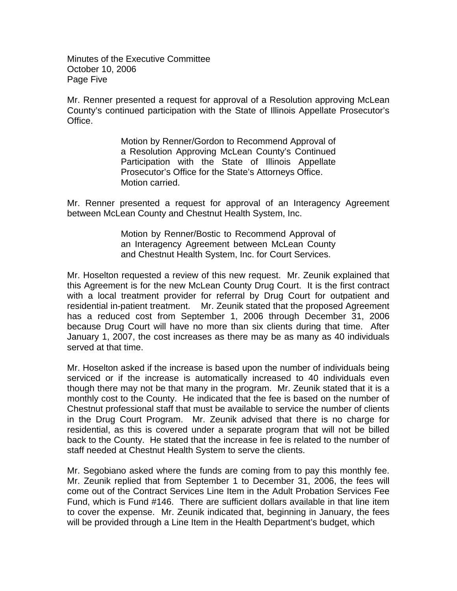Minutes of the Executive Committee October 10, 2006 Page Five

Mr. Renner presented a request for approval of a Resolution approving McLean County's continued participation with the State of Illinois Appellate Prosecutor's Office.

> Motion by Renner/Gordon to Recommend Approval of a Resolution Approving McLean County's Continued Participation with the State of Illinois Appellate Prosecutor's Office for the State's Attorneys Office. Motion carried.

Mr. Renner presented a request for approval of an Interagency Agreement between McLean County and Chestnut Health System, Inc.

> Motion by Renner/Bostic to Recommend Approval of an Interagency Agreement between McLean County and Chestnut Health System, Inc. for Court Services.

Mr. Hoselton requested a review of this new request. Mr. Zeunik explained that this Agreement is for the new McLean County Drug Court. It is the first contract with a local treatment provider for referral by Drug Court for outpatient and residential in-patient treatment. Mr. Zeunik stated that the proposed Agreement has a reduced cost from September 1, 2006 through December 31, 2006 because Drug Court will have no more than six clients during that time. After January 1, 2007, the cost increases as there may be as many as 40 individuals served at that time.

Mr. Hoselton asked if the increase is based upon the number of individuals being serviced or if the increase is automatically increased to 40 individuals even though there may not be that many in the program. Mr. Zeunik stated that it is a monthly cost to the County. He indicated that the fee is based on the number of Chestnut professional staff that must be available to service the number of clients in the Drug Court Program. Mr. Zeunik advised that there is no charge for residential, as this is covered under a separate program that will not be billed back to the County. He stated that the increase in fee is related to the number of staff needed at Chestnut Health System to serve the clients.

Mr. Segobiano asked where the funds are coming from to pay this monthly fee. Mr. Zeunik replied that from September 1 to December 31, 2006, the fees will come out of the Contract Services Line Item in the Adult Probation Services Fee Fund, which is Fund #146. There are sufficient dollars available in that line item to cover the expense. Mr. Zeunik indicated that, beginning in January, the fees will be provided through a Line Item in the Health Department's budget, which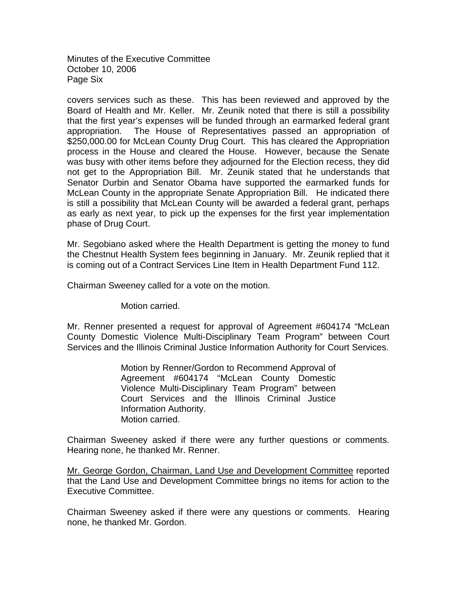Minutes of the Executive Committee October 10, 2006 Page Six

covers services such as these. This has been reviewed and approved by the Board of Health and Mr. Keller. Mr. Zeunik noted that there is still a possibility that the first year's expenses will be funded through an earmarked federal grant appropriation. The House of Representatives passed an appropriation of \$250,000.00 for McLean County Drug Court. This has cleared the Appropriation process in the House and cleared the House. However, because the Senate was busy with other items before they adjourned for the Election recess, they did not get to the Appropriation Bill. Mr. Zeunik stated that he understands that Senator Durbin and Senator Obama have supported the earmarked funds for McLean County in the appropriate Senate Appropriation Bill. He indicated there is still a possibility that McLean County will be awarded a federal grant, perhaps as early as next year, to pick up the expenses for the first year implementation phase of Drug Court.

Mr. Segobiano asked where the Health Department is getting the money to fund the Chestnut Health System fees beginning in January. Mr. Zeunik replied that it is coming out of a Contract Services Line Item in Health Department Fund 112.

Chairman Sweeney called for a vote on the motion.

Motion carried.

Mr. Renner presented a request for approval of Agreement #604174 "McLean County Domestic Violence Multi-Disciplinary Team Program" between Court Services and the Illinois Criminal Justice Information Authority for Court Services.

> Motion by Renner/Gordon to Recommend Approval of Agreement #604174 "McLean County Domestic Violence Multi-Disciplinary Team Program" between Court Services and the Illinois Criminal Justice Information Authority. Motion carried.

Chairman Sweeney asked if there were any further questions or comments. Hearing none, he thanked Mr. Renner.

Mr. George Gordon, Chairman, Land Use and Development Committee reported that the Land Use and Development Committee brings no items for action to the Executive Committee.

Chairman Sweeney asked if there were any questions or comments. Hearing none, he thanked Mr. Gordon.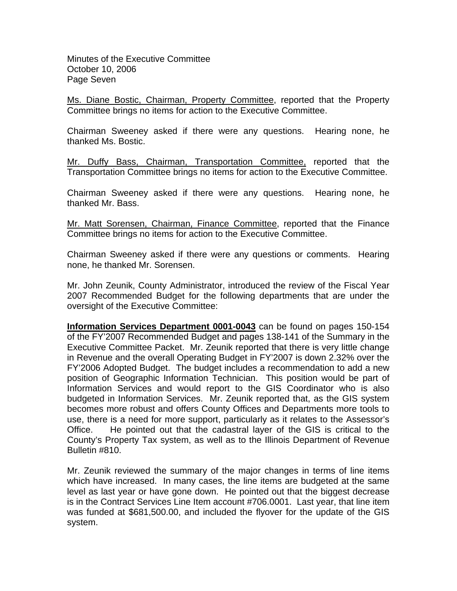Minutes of the Executive Committee October 10, 2006 Page Seven

Ms. Diane Bostic, Chairman, Property Committee, reported that the Property Committee brings no items for action to the Executive Committee.

Chairman Sweeney asked if there were any questions. Hearing none, he thanked Ms. Bostic.

Mr. Duffy Bass, Chairman, Transportation Committee, reported that the Transportation Committee brings no items for action to the Executive Committee.

Chairman Sweeney asked if there were any questions. Hearing none, he thanked Mr. Bass.

Mr. Matt Sorensen, Chairman, Finance Committee, reported that the Finance Committee brings no items for action to the Executive Committee.

Chairman Sweeney asked if there were any questions or comments. Hearing none, he thanked Mr. Sorensen.

Mr. John Zeunik, County Administrator, introduced the review of the Fiscal Year 2007 Recommended Budget for the following departments that are under the oversight of the Executive Committee:

**Information Services Department 0001-0043** can be found on pages 150-154 of the FY'2007 Recommended Budget and pages 138-141 of the Summary in the Executive Committee Packet. Mr. Zeunik reported that there is very little change in Revenue and the overall Operating Budget in FY'2007 is down 2.32% over the FY'2006 Adopted Budget. The budget includes a recommendation to add a new position of Geographic Information Technician. This position would be part of Information Services and would report to the GIS Coordinator who is also budgeted in Information Services. Mr. Zeunik reported that, as the GIS system becomes more robust and offers County Offices and Departments more tools to use, there is a need for more support, particularly as it relates to the Assessor's Office. He pointed out that the cadastral layer of the GIS is critical to the County's Property Tax system, as well as to the Illinois Department of Revenue Bulletin #810.

Mr. Zeunik reviewed the summary of the major changes in terms of line items which have increased. In many cases, the line items are budgeted at the same level as last year or have gone down. He pointed out that the biggest decrease is in the Contract Services Line Item account #706.0001. Last year, that line item was funded at \$681,500.00, and included the flyover for the update of the GIS system.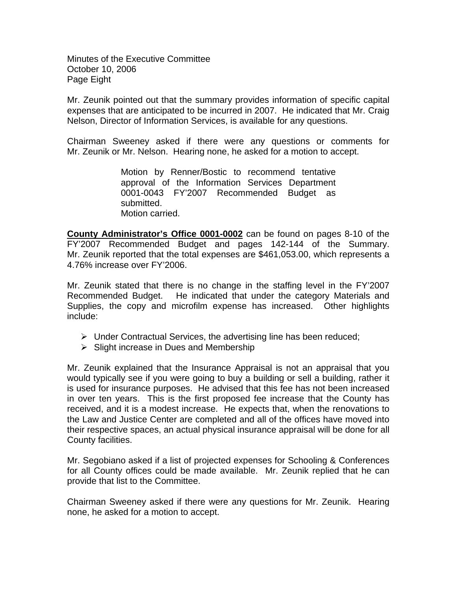Minutes of the Executive Committee October 10, 2006 Page Eight

Mr. Zeunik pointed out that the summary provides information of specific capital expenses that are anticipated to be incurred in 2007. He indicated that Mr. Craig Nelson, Director of Information Services, is available for any questions.

Chairman Sweeney asked if there were any questions or comments for Mr. Zeunik or Mr. Nelson. Hearing none, he asked for a motion to accept.

> Motion by Renner/Bostic to recommend tentative approval of the Information Services Department 0001-0043 FY'2007 Recommended Budget as submitted. Motion carried.

**County Administrator's Office 0001-0002** can be found on pages 8-10 of the FY'2007 Recommended Budget and pages 142-144 of the Summary. Mr. Zeunik reported that the total expenses are \$461,053.00, which represents a 4.76% increase over FY'2006.

Mr. Zeunik stated that there is no change in the staffing level in the FY'2007 Recommended Budget. He indicated that under the category Materials and Supplies, the copy and microfilm expense has increased. Other highlights include:

- $\triangleright$  Under Contractual Services, the advertising line has been reduced;
- $\triangleright$  Slight increase in Dues and Membership

Mr. Zeunik explained that the Insurance Appraisal is not an appraisal that you would typically see if you were going to buy a building or sell a building, rather it is used for insurance purposes. He advised that this fee has not been increased in over ten years. This is the first proposed fee increase that the County has received, and it is a modest increase. He expects that, when the renovations to the Law and Justice Center are completed and all of the offices have moved into their respective spaces, an actual physical insurance appraisal will be done for all County facilities.

Mr. Segobiano asked if a list of projected expenses for Schooling & Conferences for all County offices could be made available. Mr. Zeunik replied that he can provide that list to the Committee.

Chairman Sweeney asked if there were any questions for Mr. Zeunik. Hearing none, he asked for a motion to accept.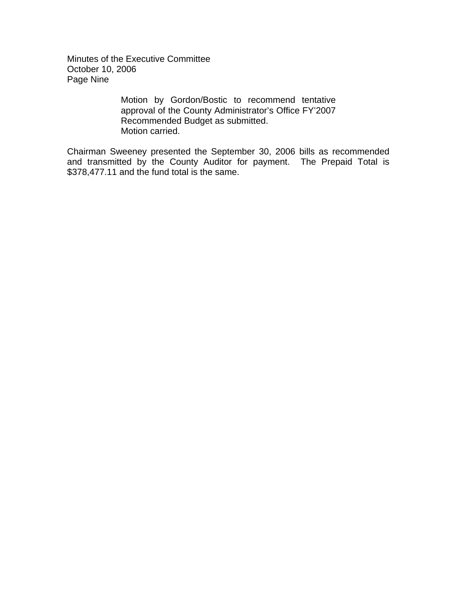Minutes of the Executive Committee October 10, 2006 Page Nine

> Motion by Gordon/Bostic to recommend tentative approval of the County Administrator's Office FY'2007 Recommended Budget as submitted. Motion carried.

Chairman Sweeney presented the September 30, 2006 bills as recommended and transmitted by the County Auditor for payment. The Prepaid Total is \$378,477.11 and the fund total is the same.